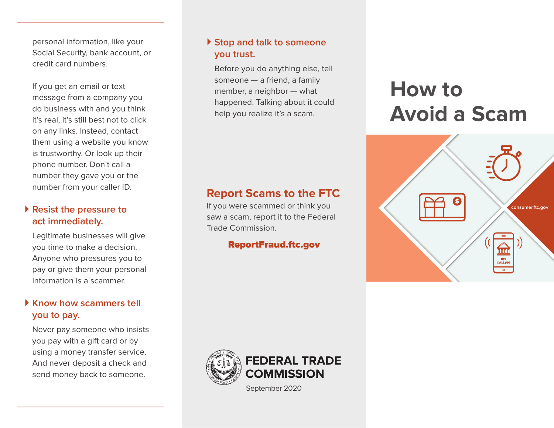personal information, like your Social Security, bank account, or credit card numbers.

If you get an email or text message from a company you do business with and you think it's real, it's still best not to click on any links. Instead, contact them using a website you know is trustworthy. Or look up their phone number. Don't call a number they gave you or the number from your caller ID.

### **Resist the pressure to act immediately.**

Legitimate businesses will give you time to make a decision. Anyone who pressures you to pay or give them your personal information is a scammer.

### **Know how scammers tell you to pay.**

Never pay someone who insists you pay with a gift card or by using a money transfer service. And never deposit a check and send money back to someone.

### **▶ Stop and talk to someone you trust.**

Before you do anything else, tell someone — a friend, a family member, a neighbor — what happened. Talking about it could help you realize it's a scam.

### **Report Scams to the FTC**

If you were scammed or think you saw a scam, report it to the Federal Trade Commission.

#### [ReportFraud.ftc.gov](http://ReportFraud.ftc.gov )



September 2020

# **How to Avoid a Scam**